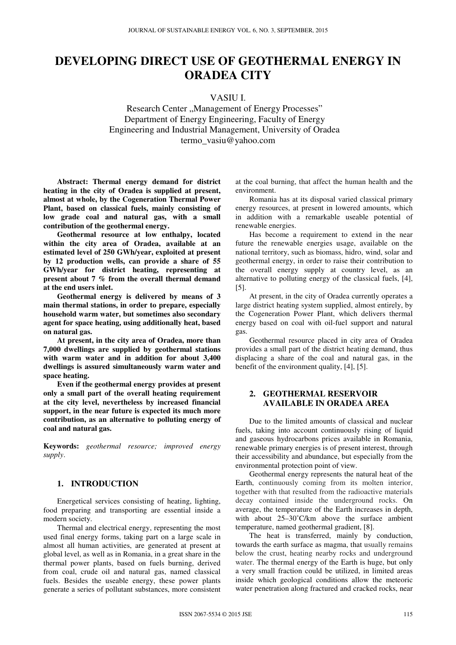# **DEVELOPING DIRECT USE OF GEOTHERMAL ENERGY IN ORADEA CITY**

# VASIU I.

Research Center "Management of Energy Processes" Department of Energy Engineering, Faculty of Energy Engineering and Industrial Management, University of Oradea termo\_vasiu@yahoo.com

**Abstract: Thermal energy demand for district heating in the city of Oradea is supplied at present, almost at whole, by the Cogeneration Thermal Power Plant, based on classical fuels, mainly consisting of low grade coal and natural gas, with a small contribution of the geothermal energy.** 

**Geothermal resource at low enthalpy, located within the city area of Oradea, available at an estimated level of 250 GWh/year, exploited at present by 12 production wells, can provide a share of 55 GWh/year for district heating, representing at present about 7 % from the overall thermal demand at the end users inlet.** 

**Geothermal energy is delivered by means of 3 main thermal stations, in order to prepare, especially household warm water, but sometimes also secondary agent for space heating, using additionally heat, based on natural gas.** 

**At present, in the city area of Oradea, more than 7,000 dwellings are supplied by geothermal stations with warm water and in addition for about 3,400 dwellings is assured simultaneously warm water and space heating.** 

**Even if the geothermal energy provides at present only a small part of the overall heating requirement at the city level, nevertheless by increased financial support, in the near future is expected its much more contribution, as an alternative to polluting energy of coal and natural gas.**

**Keywords:** *geothermal resource; improved energy supply*.

### **1. INTRODUCTION**

Energetical services consisting of heating, lighting, food preparing and transporting are essential inside a modern society.

Thermal and electrical energy, representing the most used final energy forms, taking part on a large scale in almost all human activities, are generated at present at global level, as well as in Romania, in a great share in the thermal power plants, based on fuels burning, derived from coal, crude oil and natural gas, named classical fuels. Besides the useable energy, these power plants generate a series of pollutant substances, more consistent

at the coal burning, that affect the human health and the environment.

Romania has at its disposal varied classical primary energy resources, at present in lowered amounts, which in addition with a remarkable useable potential of renewable energies.

Has become a requirement to extend in the near future the renewable energies usage, available on the national territory, such as biomass, hidro, wind, solar and geothermal energy, in order to raise their contribution to the overall energy supply at country level, as an alternative to polluting energy of the classical fuels, [4], [5].

At present, in the city of Oradea currently operates a large district heating system supplied, almost entirely, by the Cogeneration Power Plant, which delivers thermal energy based on coal with oil-fuel support and natural gas.

Geothermal resource placed in city area of Oradea provides a small part of the district heating demand, thus displacing a share of the coal and natural gas, in the benefit of the environment quality, [4], [5].

## **2. GEOTHERMAL RESERVOIR AVAILABLE IN ORADEA AREA**

Due to the limited amounts of classical and nuclear fuels, taking into account continuously rising of liquid and gaseous hydrocarbons prices available in Romania, renewable primary energies is of present interest, through their accessibility and abundance, but especially from the environmental protection point of view.

Geothermal energy represents the natural heat of the Earth, continuously coming from its molten interior, together with that resulted from the radioactive materials decay contained inside the underground rocks. On average, the temperature of the Earth increases in depth, with about 25–30°C/km above the surface ambient temperature, named geothermal gradient, [8].

The heat is transferred, mainly by conduction, towards the earth surface as magma, that usually remains below the crust, heating nearby rocks and underground water. The thermal energy of the Earth is huge, but only a very small fraction could be utilized, in limited areas inside which geological conditions allow the meteoric water penetration along fractured and cracked rocks, near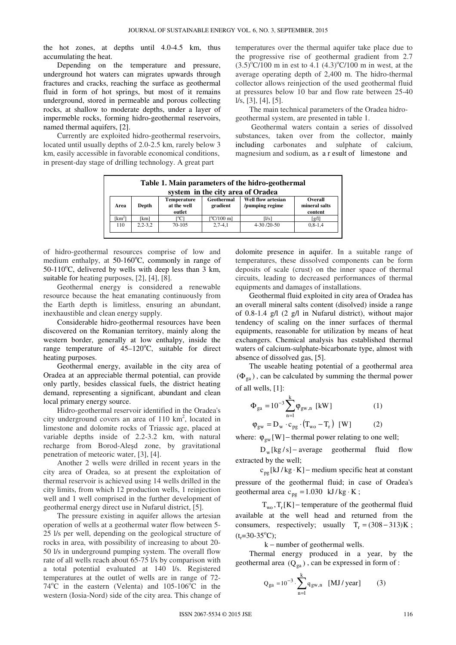the hot zones, at depths until 4.0-4.5 km, thus accumulating the heat.

Depending on the temperature and pressure, underground hot waters can migrates upwards through fractures and cracks, reaching the surface as geothermal fluid in form of hot springs, but most of it remains underground, stored in permeable and porous collecting rocks, at shallow to moderate depths, under a layer of impermeble rocks, forming hidro-geothermal reservoirs, named thermal aquifers, [2].

Currently are exploited hidro-geothermal reservoirs, located until usually depths of 2.0-2.5 km, rarely below 3 km, easily accessible in favorable economical conditions, in present-day stage of drilling technology. A great part

temperatures over the thermal aquifer take place due to the progressive rise of geothermal gradient from 2.7  $(3.5)^{\circ}$ C/100 m in est to 4.1  $(4.3)^{\circ}$ C/100 m in west, at the average operating depth of 2,400 m. The hidro-thermal collector allows reinjection of the used geothermal fluid at pressures below 10 bar and flow rate between 25-40  $1/s, [3], [4], [5].$ 

The main technical parameters of the Oradea hidrogeothermal system, are presented in table 1.

 Geothermal waters contain a series of dissolved substances, taken over from the collector, mainly including carbonates and sulphate of calcium, magnesium and sodium, as a r esult of limestone and

| Table 1. Main parameters of the hidro-geothermal<br>system in the city area of Oradea |             |                                             |                        |                                              |                                     |  |  |  |  |  |
|---------------------------------------------------------------------------------------|-------------|---------------------------------------------|------------------------|----------------------------------------------|-------------------------------------|--|--|--|--|--|
| Area                                                                                  | Depth       | <b>Temperature</b><br>at the well<br>outlet | Geothermal<br>gradient | <b>Well flow artesian</b><br>/pumping regime | Overall<br>mineral salts<br>content |  |  |  |  |  |
| $[km^2]$                                                                              | [km]        | [°C]                                        | $\Gamma$ °C/100 m]     | [1/s]                                        | $\left[\frac{g}{l}\right]$          |  |  |  |  |  |
| 110                                                                                   | $2.2 - 3.2$ | 70-105                                      | $2,7-4,1$              | $4-30/20-50$                                 | $0.8 - 1.4$                         |  |  |  |  |  |

of hidro-geothermal resources comprise of low and medium enthalpy, at  $50-160^{\circ}$ C, commonly in range of 50-110 $^{\circ}$ C, delivered by wells with deep less than 3 km, suitable for heating purposes, [2], [4], [8].

Geothermal energy is considered a renewable resource because the heat emanating continuously from the Earth depth is limitless, ensuring an abundant, inexhaustible and clean energy supply.

Considerable hidro-geothermal resources have been discovered on the Romanian territory, mainly along the western border, generally at low enthalpy, inside the range temperature of  $45-120^{\circ}$ C, suitable for direct heating purposes.

Geothermal energy, available in the city area of Oradea at an appreciable thermal potential, can provide only partly, besides classical fuels, the district heating demand, representing a significant, abundant and clean local primary energy source.

Hidro-geothermal reservoir identified in the Oradea's city underground covers an area of  $110 \text{ km}^2$ , located in limestone and dolomite rocks of Triassic age, placed at variable depths inside of 2.2-3.2 km, with natural recharge from Borod-Aleşd zone, by gravitational penetration of meteoric water, [3], [4].

Another 2 wells were drilled in recent years in the city area of Oradea, so at present the exploitation of thermal reservoir is achieved using 14 wells drilled in the city limits, from which 12 production wells, 1 reinjection well and 1 well comprised in the further development of geothermal energy direct use in Nufarul district, [5].

The pressure existing in aquifer allows the artesian operation of wells at a geothermal water flow between 5- 25 l/s per well, depending on the geological structure of rocks in area, with possibility of increasing to about 20- 50 l/s in underground pumping system. The overall flow rate of all wells reach about 65-75 l/s by comparison with a total potential evaluated at 140 l/s. Registered temperatures at the outlet of wells are in range of 72-  $74^{\circ}$ C in the eastern (Velenta) and  $105-106^{\circ}$ C in the western (Iosia-Nord) side of the city area. This change of dolomite presence in aquifer. In a suitable range of temperatures, these dissolved components can be form deposits of scale (crust) on the inner space of thermal circuits, leading to decreased performances of thermal equipments and damages of installations.

Geothermal fluid exploited in city area of Oradea has an overall mineral salts content (disolved) inside a range of 0.8-1.4 g/l (2 g/l in Nufarul district), without major tendency of scaling on the inner surfaces of thermal equipments, reasonable for utilization by means of heat exchangers. Chemical analysis has established thermal waters of calcium-sulphate-bicarbonate type, almost with absence of dissolved gas, [5].

The useable heating potential of a geothermal area  $(\Phi_{\alpha})$ , can be calculated by summing the thermal power of all wells, [1]:

$$
\Phi_{ga} = 10^{-3} \sum_{n=1}^{k} \phi_{gw,n} \text{ [kW]} \tag{1}
$$

$$
\varphi_{\rm gw} = D_{\rm w} \cdot c_{\rm pg} \cdot (T_{\rm wo} - T_{\rm r}) \quad \text{[W]} \tag{2}
$$

where:  $\varphi_{gw}$ [W] – thermal power relating to one well;

 $D_w$ [kg/s] – average geothermal fluid flow extracted by the well;

 $c_{pg}$ [kJ/kg·K] – medium specific heat at constant pressure of the geothermal fluid; in case of Oradea's geothermal area  $c_{pg} = 1.030 \text{ kJ/kg} \cdot \text{K}$ ;

 $T_{wo}$ ,  $T_r[K]$  – temperature of the geothermal fluid available at the well head and returned from the consumers, respectively; usually  $T_r = (308 - 313)K$ ;  $(t_r = 30 - 35$ °C);

k − number of geothermal wells.

Thermal energy produced in a year, by the geothermal area  $(Q_{ga})$ , can be expressed in form of :

$$
Q_{ga} = 10^{-3} \cdot \sum_{n=1}^{k} q_{gw,n} \quad [MJ/year] \tag{3}
$$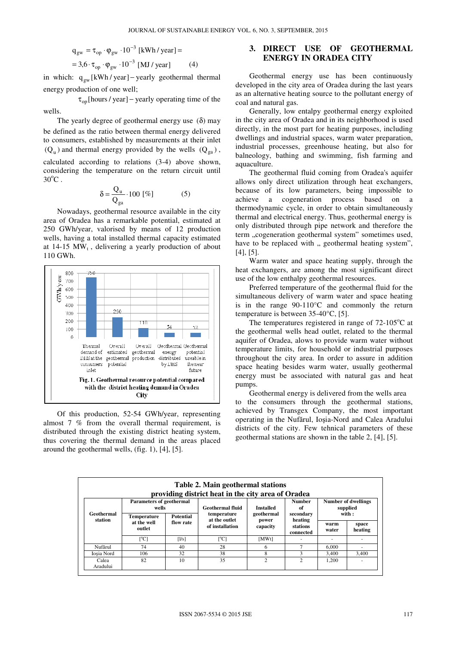$$
q_{gw} = \tau_{op} \cdot \varphi_{gw} \cdot 10^{-3} \text{ [kWh/ year]} =
$$
  
= 3,6 ·  $\tau_{op} \cdot \varphi_{gw} \cdot 10^{-3} \text{ [MJ/ year]} (4)$ 

in which:  $q_{gw}$ [kWh / year] – yearly geothermal thermal energy production of one well;

 $\tau_{\text{on}}$ [hours / year] – yearly operating time of the wells.

The yearly degree of geothermal energy use  $(\delta)$  may be defined as the ratio between thermal energy delivered to consumers, established by measurements at their inlet  $(Q_u)$  and thermal energy provided by the wells  $(Q_{ga})$ , calculated according to relations (3-4) above shown, considering the temperature on the return circuit until  $30^{\circ}$ C.

$$
\delta = \frac{Q_u}{Q_{ga}} \cdot 100 \, [\%]
$$
 (5)

Nowadays, geothermal resource available in the city area of Oradea has a remarkable potential, estimated at 250 GWh/year, valorised by means of 12 production wells, having a total installed thermal capacity estimated at  $14-15$  MW<sub>t</sub>, delivering a yearly production of about 110 GWh.



Of this production, 52-54 GWh/year, representing almost 7 % from the overall thermal requirement, is distributed through the existing district heating system, thus covering the thermal demand in the areas placed around the geothermal wells, (fig. 1), [4], [5].

# **3. DIRECT USE OF GEOTHERMAL ENERGY IN ORADEA CITY**

Geothermal energy use has been continuously developed in the city area of Oradea during the last years as an alternative heating source to the pollutant energy of coal and natural gas.

Generally, low entalpy geothermal energy exploited in the city area of Oradea and in its neighborhood is used directly, in the most part for heating purposes, including dwellings and industrial spaces, warm water preparation, industrial processes, greenhouse heating, but also for balneology, bathing and swimming, fish farming and aquaculture.

The geothermal fluid coming from Oradea's aquifer allows only direct utilization through heat exchangers, because of its low parameters, being impossible to achieve a cogeneration process based on a thermodynamic cycle, in order to obtain simultaneously thermal and electrical energy. Thus, geothermal energy is only distributed through pipe network and therefore the term "cogeneration geothermal system" sometimes used, have to be replaced with ,, geothermal heating system", [4], [5].

Warm water and space heating supply, through the heat exchangers, are among the most significant direct use of the low enthalpy geothermal resources.

Preferred temperature of the geothermal fluid for the simultaneous delivery of warm water and space heating is in the range 90-110°C and commonly the return temperature is between 35-40°C, [5].

The temperatures registered in range of  $72-105^{\circ}$ C at the geothermal wells head outlet, related to the thermal aquifer of Oradea, alows to provide warm water without temperature limits, for household or industrial purposes throughout the city area. In order to assure in addition space heating besides warm water, usually geothermal energy must be associated with natural gas and heat pumps.

Geothermal energy is delivered from the wells area to the consumers through the geothermal stations, achieved by Transgex Company, the most important operating in the Nufărul, Ioşia-Nord and Calea Aradului districts of the city. Few tehnical parameters of these geothermal stations are shown in the table 2, [4], [5].

| Table 2. Main geothermal stations<br>providing district heat in the city area of Oradea |                                   |                               |                                                 |                                 |                                               |                                 |                  |  |  |  |  |
|-----------------------------------------------------------------------------------------|-----------------------------------|-------------------------------|-------------------------------------------------|---------------------------------|-----------------------------------------------|---------------------------------|------------------|--|--|--|--|
|                                                                                         | Parameters of geothermal<br>wells |                               | <b>Geothermal fluid</b>                         | <b>Installed</b>                | <b>Number</b><br>оf                           | Number of dwellings<br>supplied |                  |  |  |  |  |
| Geothermal<br>station                                                                   | <b>Temperature</b>                | <b>Potential</b><br>flow rate | temperature<br>at the outlet<br>of installation | geothermal<br>power<br>capacity | secondary<br>heating<br>stations<br>connected | with:                           |                  |  |  |  |  |
|                                                                                         | at the well<br>outlet             |                               |                                                 |                                 |                                               | warm<br>water                   | space<br>heating |  |  |  |  |
|                                                                                         | $\Gamma^0$ Cl                     | [1/s]                         | $\Gamma^0$ Cl                                   | [MWt]                           | ۰                                             |                                 |                  |  |  |  |  |
| Nufărul                                                                                 | 74                                | 40                            | 28                                              | 6                               | $\overline{7}$                                | 6.000                           |                  |  |  |  |  |
| Iosia Nord                                                                              | 106                               | 32                            | 38                                              | 8                               | 3                                             | 3.400                           | 3.400            |  |  |  |  |
| Calea<br>Aradului                                                                       | 82                                | 10                            | 35                                              | $\mathcal{D}_{\alpha}$          | $\overline{c}$                                | 1.200                           |                  |  |  |  |  |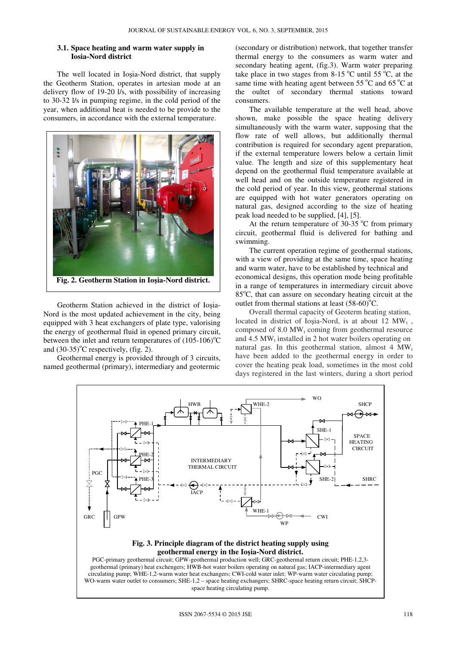#### **3.1. Space heating and warm water supply in Iosia-Nord district**

The well located in Ioşia-Nord district, that supply the Geotherm Station, operates in artesian mode at an delivery flow of 19-20 l/s, with possibility of increasing to 30-32 l/s in pumping regime, in the cold period of the year, when additional heat is needed to be provide to the consumers, in accordance with the external temperature.



Geotherm Station achieved in the district of Ioşia-Nord is the most updated achievement in the city, being equipped with 3 heat exchangers of plate type, valorising the energy of geothermal fluid in opened primary circuit, between the inlet and return temperatures of  $(105-106)$ <sup>o</sup>C and  $(30-35)$ <sup>o</sup>C respectively, (fig. 2).

Geothermal energy is provided through of 3 circuits, named geothermal (primary), intermediary and geotermic

(secondary or distribution) network, that together transfer thermal energy to the consumers as warm water and secondary heating agent, (fig.3). Warm water preparing take place in two stages from  $8-15\degree\text{C}$  until 55  $\degree\text{C}$ , at the same time with heating agent between  $55^{\circ}$ C and  $65^{\circ}$ C at the oultet of secondary thermal stations toward consumers.

The available temperature at the well head, above shown, make possible the space heating delivery simultaneously with the warm water, supposing that the flow rate of well allows, but additionally thermal contribution is required for secondary agent preparation, if the external temperature lowers below a certain limit value. The length and size of this supplementary heat depend on the geothermal fluid temperature available at well head and on the outside temperature registered in the cold period of year. In this view, geothermal stations are equipped with hot water generators operating on natural gas, designed according to the size of heating peak load needed to be supplied, [4], [5].

At the return temperature of  $30-35$  °C from primary circuit, geothermal fluid is delivered for bathing and swimming.

The current operation regime of geothermal stations, with a view of providing at the same time, space heating and warm water, have to be established by technical and economical designs, this operation mode being profitable in a range of temperatures in intermediary circuit above  $85^{\circ}$ C, that can assure on secondary heating circuit at the outlet from thermal stations at least  $(58-60)$ <sup>o</sup>C.

Overall thermal capacity of Geoterm heating station, located in district of Ioșia-Nord, is at about  $12 \text{ MW}_t$ , composed of  $8.0 \text{ MW}_t$  coming from geothermal resource and  $4.5 \text{ MW}_t$  installed in 2 hot water boilers operating on natural gas. In this geothermal station, almost  $4 \, \text{MW}_t$ have been added to the geothermal energy in order to cover the heating peak load, sometimes in the most cold days registered in the last winters, during a short period

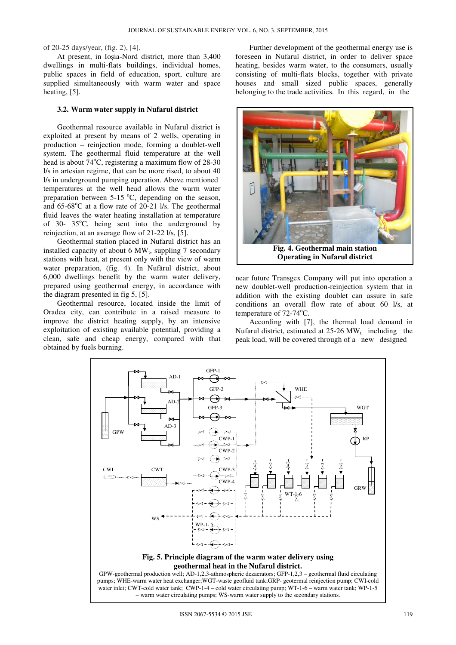of 20-25 days/year, (fig. 2), [4].

At present, in Ioşia-Nord district, more than 3,400 dwellings in multi-flats buildings, individual homes, public spaces in field of education, sport, culture are supplied simultaneously with warm water and space heating, [5].

#### **3.2. Warm water supply in Nufarul district**

Geothermal resource available in Nufarul district is exploited at present by means of 2 wells, operating in production – reinjection mode, forming a doublet-well system. The geothermal fluid temperature at the well head is about  $74^{\circ}$ C, registering a maximum flow of  $28-30$ l/s in artesian regime, that can be more rised, to about 40 l/s in underground pumping operation. Above mentioned temperatures at the well head allows the warm water preparation between  $5{\text -}15$  °C, depending on the season, and  $65-68^{\circ}$ C at a flow rate of 20-21 l/s. The geothermal fluid leaves the water heating installation at temperature of 30-  $35^{\circ}$ C, being sent into the underground by reinjection, at an average flow of 21-22 l/s, [5].

Geothermal station placed in Nufarul district has an installed capacity of about  $6$  MW<sub>t</sub>, suppling  $7$  secondary stations with heat, at present only with the view of warm water preparation, (fig. 4). In Nufărul district, about 6,000 dwellings benefit by the warm water delivery, prepared using geothermal energy, in accordance with the diagram presented in fig 5, [5].

Geothermal resource, located inside the limit of Oradea city, can contribute in a raised measure to improve the district heating supply, by an intensive exploitation of existing available potential, providing a clean, safe and cheap energy, compared with that obtained by fuels burning.

Further development of the geothermal energy use is foreseen in Nufarul district, in order to deliver space heating, besides warm water, to the consumers, usually consisting of multi-flats blocks, together with private houses and small sized public spaces, generally belonging to the trade activities. In this regard, in the



near future Transgex Company will put into operation a new doublet-well production-reinjection system that in addition with the existing doublet can assure in safe conditions an overall flow rate of about 60 l/s, at temperature of  $72-74$ °C.

According with [7], the thermal load demand in Nufarul district, estimated at  $25{\text -}26\,\text{MW}_t$  including the peak load, will be covered through of a new designed